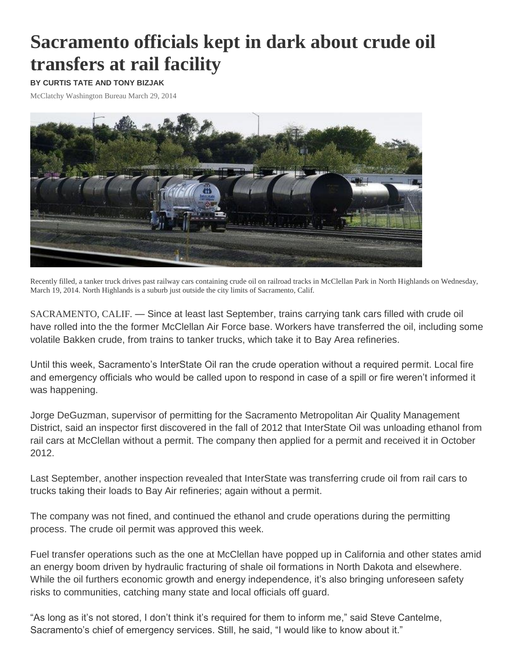## **Sacramento officials kept in dark about crude oil transfers at rail facility**

### **BY CURTIS TATE AND TONY BIZJAK**

McClatchy Washington Bureau March 29, 2014



Recently filled, a tanker truck drives past railway cars containing crude oil on railroad tracks in McClellan Park in North Highlands on Wednesday, March 19, 2014. North Highlands is a suburb just outside the city limits of Sacramento, Calif.

SACRAMENTO, CALIF. — Since at least last September, trains carrying tank cars filled with crude oil have rolled into the the former McClellan Air Force base. Workers have transferred the oil, including some volatile Bakken crude, from trains to tanker trucks, which take it to Bay Area refineries.

Until this week, Sacramento's InterState Oil ran the crude operation without a required permit. Local fire and emergency officials who would be called upon to respond in case of a spill or fire weren't informed it was happening.

Jorge DeGuzman, supervisor of permitting for the Sacramento Metropolitan Air Quality Management District, said an inspector first discovered in the fall of 2012 that InterState Oil was unloading ethanol from rail cars at McClellan without a permit. The company then applied for a permit and received it in October 2012.

Last September, another inspection revealed that InterState was transferring crude oil from rail cars to trucks taking their loads to Bay Air refineries; again without a permit.

The company was not fined, and continued the ethanol and crude operations during the permitting process. The crude oil permit was approved this week.

Fuel transfer operations such as the one at McClellan have popped up in California and other states amid an energy boom driven by hydraulic fracturing of shale oil formations in North Dakota and elsewhere. While the oil furthers economic growth and energy independence, it's also bringing unforeseen safety risks to communities, catching many state and local officials off guard.

"As long as it's not stored, I don't think it's required for them to inform me," said Steve Cantelme, Sacramento's chief of emergency services. Still, he said, "I would like to know about it."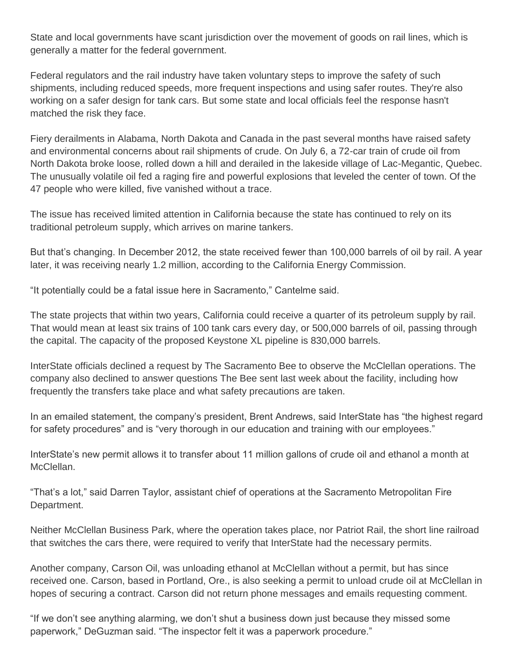State and local governments have scant jurisdiction over the movement of goods on rail lines, which is generally a matter for the federal government.

Federal regulators and the rail industry have taken voluntary steps to improve the safety of such shipments, including reduced speeds, more frequent inspections and using safer routes. They're also working on a safer design for tank cars. But some state and local officials feel the response hasn't matched the risk they face.

Fiery derailments in Alabama, North Dakota and Canada in the past several months have raised safety and environmental concerns about rail shipments of crude. On July 6, a 72-car train of crude oil from North Dakota broke loose, rolled down a hill and derailed in the lakeside village of Lac-Megantic, Quebec. The unusually volatile oil fed a raging fire and powerful explosions that leveled the center of town. Of the 47 people who were killed, five vanished without a trace.

The issue has received limited attention in California because the state has continued to rely on its traditional petroleum supply, which arrives on marine tankers.

But that's changing. In December 2012, the state received fewer than 100,000 barrels of oil by rail. A year later, it was receiving nearly 1.2 million, according to the California Energy Commission.

"It potentially could be a fatal issue here in Sacramento," Cantelme said.

The state projects that within two years, California could receive a quarter of its petroleum supply by rail. That would mean at least six trains of 100 tank cars every day, or 500,000 barrels of oil, passing through the capital. The capacity of the proposed Keystone XL pipeline is 830,000 barrels.

InterState officials declined a request by The Sacramento Bee to observe the McClellan operations. The company also declined to answer questions The Bee sent last week about the facility, including how frequently the transfers take place and what safety precautions are taken.

In an emailed statement, the company's president, Brent Andrews, said InterState has "the highest regard for safety procedures" and is "very thorough in our education and training with our employees."

InterState's new permit allows it to transfer about 11 million gallons of crude oil and ethanol a month at McClellan.

"That's a lot," said Darren Taylor, assistant chief of operations at the Sacramento Metropolitan Fire Department.

Neither McClellan Business Park, where the operation takes place, nor Patriot Rail, the short line railroad that switches the cars there, were required to verify that InterState had the necessary permits.

Another company, Carson Oil, was unloading ethanol at McClellan without a permit, but has since received one. Carson, based in Portland, Ore., is also seeking a permit to unload crude oil at McClellan in hopes of securing a contract. Carson did not return phone messages and emails requesting comment.

"If we don't see anything alarming, we don't shut a business down just because they missed some paperwork," DeGuzman said. "The inspector felt it was a paperwork procedure."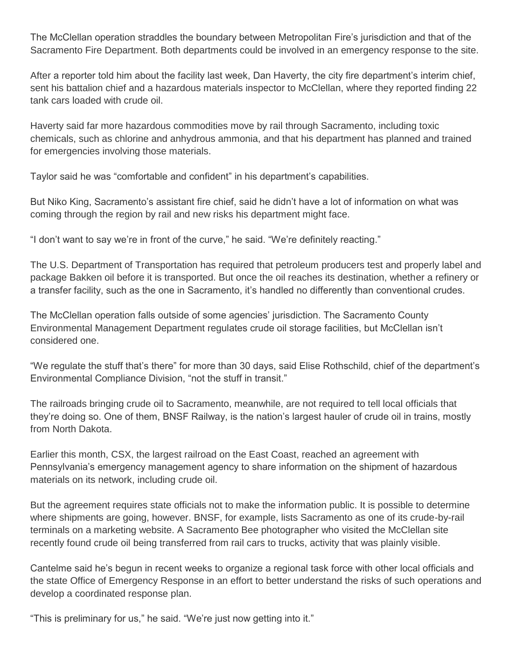The McClellan operation straddles the boundary between Metropolitan Fire's jurisdiction and that of the Sacramento Fire Department. Both departments could be involved in an emergency response to the site.

After a reporter told him about the facility last week, Dan Haverty, the city fire department's interim chief, sent his battalion chief and a hazardous materials inspector to McClellan, where they reported finding 22 tank cars loaded with crude oil.

Haverty said far more hazardous commodities move by rail through Sacramento, including toxic chemicals, such as chlorine and anhydrous ammonia, and that his department has planned and trained for emergencies involving those materials.

Taylor said he was "comfortable and confident" in his department's capabilities.

But Niko King, Sacramento's assistant fire chief, said he didn't have a lot of information on what was coming through the region by rail and new risks his department might face.

"I don't want to say we're in front of the curve," he said. "We're definitely reacting."

The U.S. Department of Transportation has required that petroleum producers test and properly label and package Bakken oil before it is transported. But once the oil reaches its destination, whether a refinery or a transfer facility, such as the one in Sacramento, it's handled no differently than conventional crudes.

The McClellan operation falls outside of some agencies' jurisdiction. The Sacramento County Environmental Management Department regulates crude oil storage facilities, but McClellan isn't considered one.

"We regulate the stuff that's there" for more than 30 days, said Elise Rothschild, chief of the department's Environmental Compliance Division, "not the stuff in transit."

The railroads bringing crude oil to Sacramento, meanwhile, are not required to tell local officials that they're doing so. One of them, BNSF Railway, is the nation's largest hauler of crude oil in trains, mostly from North Dakota.

Earlier this month, CSX, the largest railroad on the East Coast, reached an agreement with Pennsylvania's emergency management agency to share information on the shipment of hazardous materials on its network, including crude oil.

But the agreement requires state officials not to make the information public. It is possible to determine where shipments are going, however. BNSF, for example, lists Sacramento as one of its crude-by-rail terminals on a marketing website. A Sacramento Bee photographer who visited the McClellan site recently found crude oil being transferred from rail cars to trucks, activity that was plainly visible.

Cantelme said he's begun in recent weeks to organize a regional task force with other local officials and the state Office of Emergency Response in an effort to better understand the risks of such operations and develop a coordinated response plan.

"This is preliminary for us," he said. "We're just now getting into it."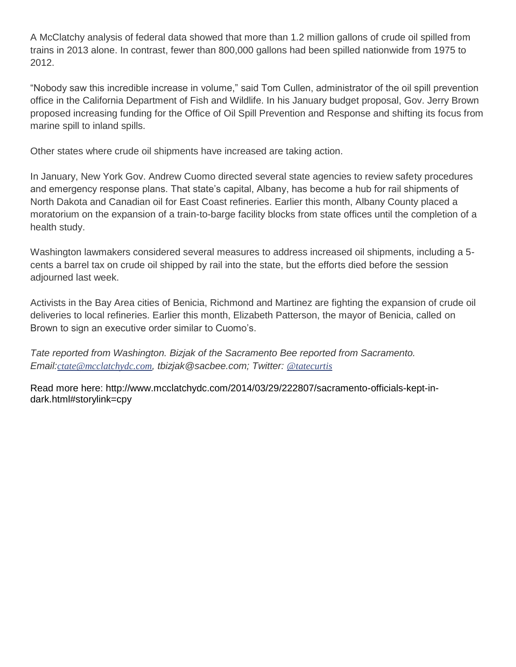A McClatchy analysis of federal data showed that more than 1.2 million gallons of crude oil spilled from trains in 2013 alone. In contrast, fewer than 800,000 gallons had been spilled nationwide from 1975 to 2012.

"Nobody saw this incredible increase in volume," said Tom Cullen, administrator of the oil spill prevention office in the California Department of Fish and Wildlife. In his January budget proposal, Gov. Jerry Brown proposed increasing funding for the Office of Oil Spill Prevention and Response and shifting its focus from marine spill to inland spills.

Other states where crude oil shipments have increased are taking action.

In January, New York Gov. Andrew Cuomo directed several state agencies to review safety procedures and emergency response plans. That state's capital, Albany, has become a hub for rail shipments of North Dakota and Canadian oil for East Coast refineries. Earlier this month, Albany County placed a moratorium on the expansion of a train-to-barge facility blocks from state offices until the completion of a health study.

Washington lawmakers considered several measures to address increased oil shipments, including a 5 cents a barrel tax on crude oil shipped by rail into the state, but the efforts died before the session adjourned last week.

Activists in the Bay Area cities of Benicia, Richmond and Martinez are fighting the expansion of crude oil deliveries to local refineries. Earlier this month, Elizabeth Patterson, the mayor of Benicia, called on Brown to sign an executive order similar to Cuomo's.

*Tate reported from Washington. Bizjak of the Sacramento Bee reported from Sacramento. Email:[ctate@mcclatchydc.com](mailto:ctate@mclcatchydc.com), tbizjak@sacbee.com; Twitter: [@tatecurtis](https://twitter.com/tatecurtis)*

Read more here: [http://www.mcclatchydc.com/2014/03/29/222807/sacramento-officials-kept-in](https://twitter.com/tatecurtis)[dark.html#storylink=cpy](https://twitter.com/tatecurtis)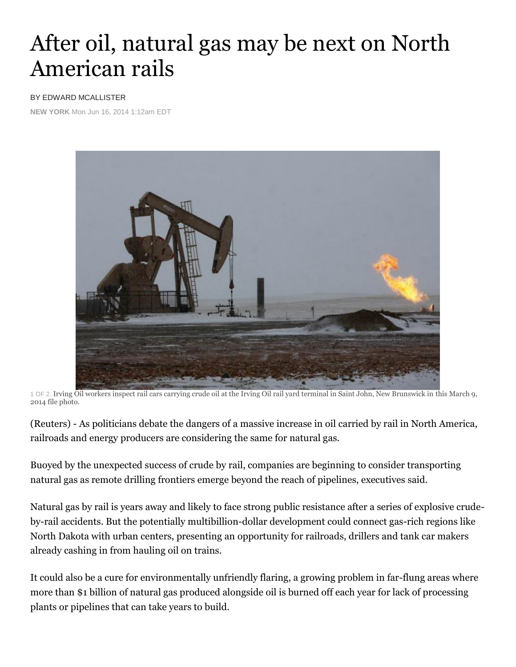# After oil, natural gas may be next on North American rails

#### BY EDWARD MCALLISTER

**NEW YORK** Mon Jun 16, 2014 1:12am EDT



1 OF 2. Irving Oil workers inspect rail cars carrying crude oil at the Irving Oil rail yard terminal in Saint John, New Brunswick in this March 9, 2014 file photo.

(Reuters) - As politicians debate the dangers of a massive increase in oil carried by rail in North America, railroads and energy producers are considering the same for natural gas.

Buoyed by the unexpected success of crude by rail, companies are beginning to consider transporting natural gas as remote drilling frontiers emerge beyond the reach of pipelines, executives said.

Natural gas by rail is years away and likely to face strong public resistance after a series of explosive crudeby-rail accidents. But the potentially multibillion-dollar development could connect gas-rich regions like North Dakota with urban centers, presenting an opportunity for railroads, drillers and tank car makers already cashing in from hauling oil on trains.

It could also be a cure for environmentally unfriendly flaring, a growing problem in far-flung areas where more than \$1 billion of natural gas produced alongside oil is burned off each year for lack of processing plants or pipelines that can take years to build.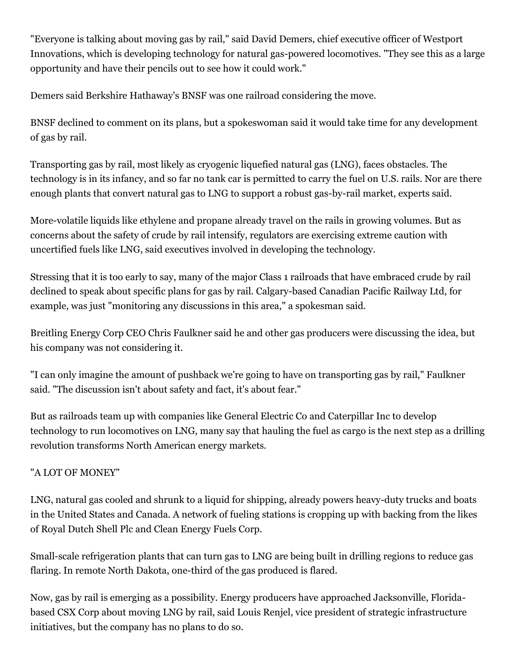"Everyone is talking about moving gas by rail," said David Demers, chief executive officer of Westport Innovations, which is developing technology for natural gas-powered locomotives. "They see this as a large opportunity and have their pencils out to see how it could work."

Demers said Berkshire Hathaway's BNSF was one railroad considering the move.

BNSF declined to comment on its plans, but a spokeswoman said it would take time for any development of gas by rail.

Transporting gas by rail, most likely as cryogenic liquefied natural gas (LNG), faces obstacles. The technology is in its infancy, and so far no tank car is permitted to carry the fuel on U.S. rails. Nor are there enough plants that convert natural gas to LNG to support a robust gas-by-rail market, experts said.

More-volatile liquids like ethylene and propane already travel on the rails in growing volumes. But as concerns about the safety of crude by rail intensify, regulators are exercising extreme caution with uncertified fuels like LNG, said executives involved in developing the technology.

Stressing that it is too early to say, many of the major Class 1 railroads that have embraced crude by rail declined to speak about specific plans for gas by rail. Calgary-based Canadian Pacific Railway Ltd, for example, was just "monitoring any discussions in this area," a spokesman said.

Breitling Energy Corp CEO Chris Faulkner said he and other gas producers were discussing the idea, but his company was not considering it.

"I can only imagine the amount of pushback we're going to have on transporting gas by rail," Faulkner said. "The discussion isn't about safety and fact, it's about fear."

But as railroads team up with companies like General Electric Co and Caterpillar Inc to develop technology to run locomotives on LNG, many say that hauling the fuel as cargo is the next step as a drilling revolution transforms North American energy markets.

## "A LOT OF MONEY"

LNG, natural gas cooled and shrunk to a liquid for shipping, already powers heavy-duty trucks and boats in the United States and Canada. A network of fueling stations is cropping up with backing from the likes of Royal Dutch Shell Plc and Clean Energy Fuels Corp.

Small-scale refrigeration plants that can turn gas to LNG are being built in drilling regions to reduce gas flaring. In remote North Dakota, one-third of the gas produced is flared.

Now, gas by rail is emerging as a possibility. Energy producers have approached Jacksonville, Floridabased CSX Corp about moving LNG by rail, said Louis Renjel, vice president of strategic infrastructure initiatives, but the company has no plans to do so.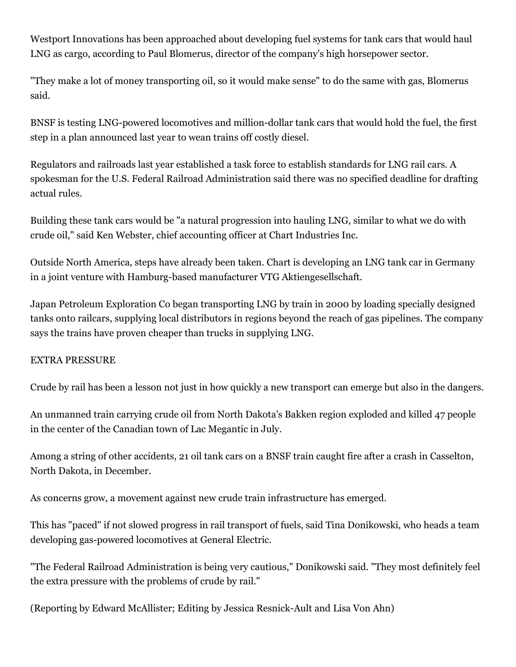Westport Innovations has been approached about developing fuel systems for tank cars that would haul LNG as cargo, according to Paul Blomerus, director of the company's high horsepower sector.

"They make a lot of money transporting oil, so it would make sense" to do the same with gas, Blomerus said.

BNSF is testing LNG-powered locomotives and million-dollar tank cars that would hold the fuel, the first step in a plan announced last year to wean trains off costly diesel.

Regulators and railroads last year established a task force to establish standards for LNG rail cars. A spokesman for the U.S. Federal Railroad Administration said there was no specified deadline for drafting actual rules.

Building these tank cars would be "a natural progression into hauling LNG, similar to what we do with crude oil," said Ken Webster, chief accounting officer at Chart Industries Inc.

Outside North America, steps have already been taken. Chart is developing an LNG tank car in Germany in a joint venture with Hamburg-based manufacturer VTG Aktiengesellschaft.

Japan Petroleum Exploration Co began transporting LNG by train in 2000 by loading specially designed tanks onto railcars, supplying local distributors in regions beyond the reach of gas pipelines. The company says the trains have proven cheaper than trucks in supplying LNG.

### EXTRA PRESSURE

Crude by rail has been a lesson not just in how quickly a new transport can emerge but also in the dangers.

An unmanned train carrying crude oil from North Dakota's Bakken region exploded and killed 47 people in the center of the Canadian town of Lac Megantic in July.

Among a string of other accidents, 21 oil tank cars on a BNSF train caught fire after a crash in Casselton, North Dakota, in December.

As concerns grow, a movement against new crude train infrastructure has emerged.

This has "paced" if not slowed progress in rail transport of fuels, said Tina Donikowski, who heads a team developing gas-powered locomotives at General Electric.

"The Federal Railroad Administration is being very cautious," Donikowski said. "They most definitely feel the extra pressure with the problems of crude by rail."

(Reporting by Edward McAllister; Editing by Jessica Resnick-Ault and Lisa Von Ahn)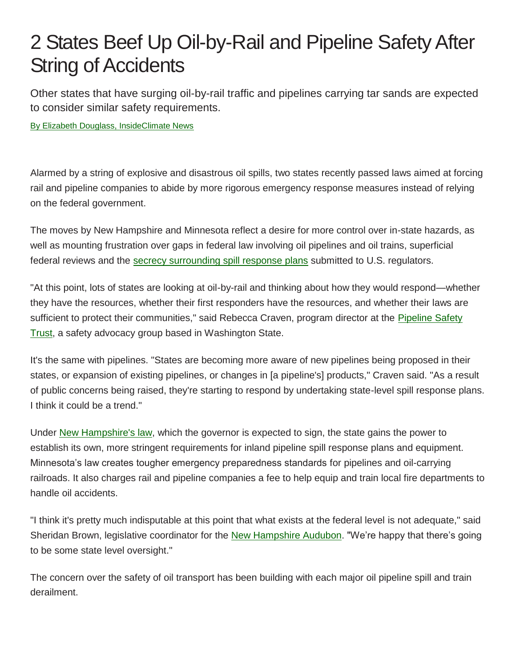# 2 States Beef Up Oil-by-Rail and Pipeline Safety After String of Accidents

Other states that have surging oil-by-rail traffic and pipelines carrying tar sands are expected to consider similar safety requirements.

[By Elizabeth Douglass, InsideClimate News](http://insideclimatenews.org/author/elizabeth-douglass)

Alarmed by a string of explosive and disastrous oil spills, two states recently passed laws aimed at forcing rail and pipeline companies to abide by more rigorous emergency response measures instead of relying on the federal government.

The moves by New Hampshire and Minnesota reflect a desire for more control over in-state hazards, as well as mounting frustration over gaps in federal law involving oil pipelines and oil trains, superficial federal reviews and the [secrecy surrounding spill response plans](http://insideclimatenews.org/news/20130820/burst-pipelines-spill-plan-none-your-business-suggests-regulator) submitted to U.S. regulators.

"At this point, lots of states are looking at oil-by-rail and thinking about how they would respond—whether they have the resources, whether their first responders have the resources, and whether their laws are sufficient to protect their communities," said Rebecca Craven, program director at the **Pipeline Safety** [Trust,](http://pstrust.org/) a safety advocacy group based in Washington State.

It's the same with pipelines. "States are becoming more aware of new pipelines being proposed in their states, or expansion of existing pipelines, or changes in [a pipeline's] products," Craven said. "As a result of public concerns being raised, they're starting to respond by undertaking state-level spill response plans. I think it could be a trend."

Under [New Hampshire's law,](http://legiscan.com/NH/text/SB325/id/1014352) which the governor is expected to sign, the state gains the power to establish its own, more stringent requirements for inland pipeline spill response plans and equipment. Minnesota's law creates tougher emergency preparedness standards for pipelines and oil-carrying railroads. It also charges rail and pipeline companies a fee to help equip and train local fire departments to handle oil accidents.

"I think it's pretty much indisputable at this point that what exists at the federal level is not adequate," said Sheridan Brown, legislative coordinator for the [New Hampshire Audubon.](http://www.nhaudubon.org/) "We're happy that there's going to be some state level oversight."

The concern over the safety of oil transport has been building with each major oil pipeline spill and train derailment.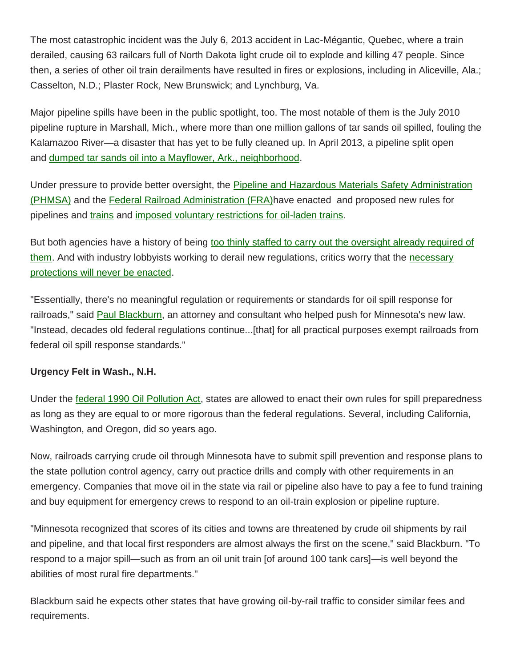The most catastrophic incident was the July 6, 2013 accident in Lac-Mégantic, Quebec, where a train derailed, causing 63 railcars full of North Dakota light crude oil to explode and killing 47 people. Since then, a series of other oil train derailments have resulted in fires or explosions, including in Aliceville, Ala.; Casselton, N.D.; Plaster Rock, New Brunswick; and Lynchburg, Va.

Major pipeline spills have been in the public spotlight, too. The most notable of them is the July 2010 pipeline rupture in Marshall, Mich., where more than one million gallons of tar sands oil spilled, fouling the Kalamazoo River—a disaster that has yet to be fully cleaned up. In April 2013, a pipeline split open and [dumped tar sands oil into a Mayflower, Ark., neighborhood.](http://insideclimatenews.org/exxon-oil-spill-arkansas)

Under pressure to provide better oversight, the [Pipeline and Hazardous Materials Safety Administration](http://www.phmsa.dot.gov/)  [\(PHMSA\)](http://www.phmsa.dot.gov/) and the [Federal Railroad Administration \(FRA\)h](http://www.fra.dot.gov/Page/P0001)ave enacted and proposed new rules for pipelines and [trains](http://www.phmsa.dot.gov/portal/site/PHMSA/menuitem.6f23687cf7b00b0f22e4c6962d9c8789/?vgnextoid=b7ae80ffe38c5410VgnVCM100000d2c97898RCRD&vgnextchannel=d248724dd7d6c010VgnVCM10000080e8a8c0RCRD&vgnextfmt=print) and [imposed voluntary restrictions for oil-laden trains.](http://www.fra.dot.gov/eLib/details/L04721)

But both agencies have a history of being [too thinly staffed to carry out the oversight already required of](http://insideclimatenews.org/news/20140424/federal-pipeline-and-oil-rail-regulator-making-9-staff-cut-confounding-experts)  [them.](http://insideclimatenews.org/news/20140424/federal-pipeline-and-oil-rail-regulator-making-9-staff-cut-confounding-experts) And with industry lobbyists working to derail new regulations, critics worry that the [necessary](http://blog.seattlepi.com/seattlepolitics/2014/04/25/oil-trains-u-s-promises-action-while-canada-takes-action/#20920101=0)  [protections will never be enacted.](http://blog.seattlepi.com/seattlepolitics/2014/04/25/oil-trains-u-s-promises-action-while-canada-takes-action/#20920101=0)

"Essentially, there's no meaningful regulation or requirements or standards for oil spill response for railroads," said [Paul Blackburn,](http://pstrust.org/wp-content/uploads/2013/03/shortbio-blackburn-20140530.pdf) an attorney and consultant who helped push for Minnesota's new law. "Instead, decades old federal regulations continue...[that] for all practical purposes exempt railroads from federal oil spill response standards."

#### **Urgency Felt in Wash., N.H.**

Under the [federal 1990 Oil Pollution Act,](http://www.gpo.gov/fdsys/pkg/USCODE-2010-title33/html/USCODE-2010-title33-chap40.htm) states are allowed to enact their own rules for spill preparedness as long as they are equal to or more rigorous than the federal regulations. Several, including California, Washington, and Oregon, did so years ago.

Now, railroads carrying crude oil through Minnesota have to submit spill prevention and response plans to the state pollution control agency, carry out practice drills and comply with other requirements in an emergency. Companies that move oil in the state via rail or pipeline also have to pay a fee to fund training and buy equipment for emergency crews to respond to an oil-train explosion or pipeline rupture.

"Minnesota recognized that scores of its cities and towns are threatened by crude oil shipments by rail and pipeline, and that local first responders are almost always the first on the scene," said Blackburn. "To respond to a major spill—such as from an oil unit train [of around 100 tank cars]—is well beyond the abilities of most rural fire departments."

Blackburn said he expects other states that have growing oil-by-rail traffic to consider similar fees and requirements.